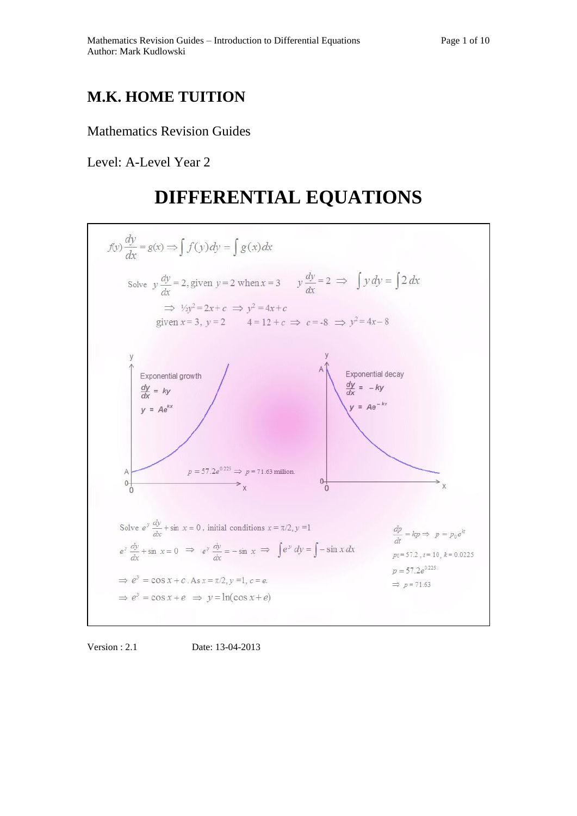## **M.K. HOME TUITION**

## Mathematics Revision Guides

Level: A-Level Year 2

# **DIFFERENTIAL EQUATIONS**



Version : 2.1 Date: 13-04-2013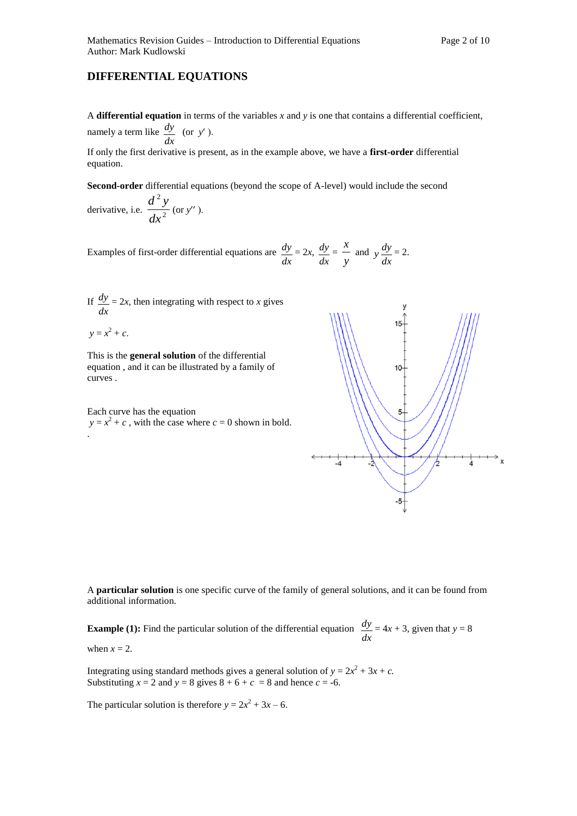## **DIFFERENTIAL EQUATIONS**

A **differential equation** in terms of the variables *x* and *y* is one that contains a differential coefficient, namely a term like *dx*  $\frac{dy}{dx}$  (or *y'*).

If only the first derivative is present, as in the example above, we have a **first-order** differential equation.

**Second-order** differential equations (beyond the scope of A-level) would include the second

derivative, i.e.  $\frac{3}{\sqrt{x^2}}$ 2 *dx*  $d^2y$ (or *y*

Examples of first-order differential equations are *dx*  $\frac{dy}{dx} = 2x$ , *dx*  $\frac{dy}{dx}$ *y*  $\frac{x}{x}$  and *dx*  $y \frac{dy}{dx} = 2.$ 

If *dx*  $\frac{dy}{dx} = 2x$ , then integrating with respect to *x* gives

$$
y = x^2 + c.
$$

This is the **general solution** of the differential equation , and it can be illustrated by a family of curves .

Each curve has the equation  $y = x^2 + c$ , with the case where  $c = 0$  shown in bold. .

A **particular solution** is one specific curve of the family of general solutions, and it can be found from additional information.

**Example (1):** Find the particular solution of the differential equation *dx*  $\frac{dy}{dx} = 4x + 3$ , given that  $y = 8$ 

when  $x = 2$ .

Integrating using standard methods gives a general solution of  $y = 2x^2 + 3x + c$ . Substituting  $x = 2$  and  $y = 8$  gives  $8 + 6 + c = 8$  and hence  $c = -6$ .

The particular solution is therefore  $y = 2x^2 + 3x - 6$ .

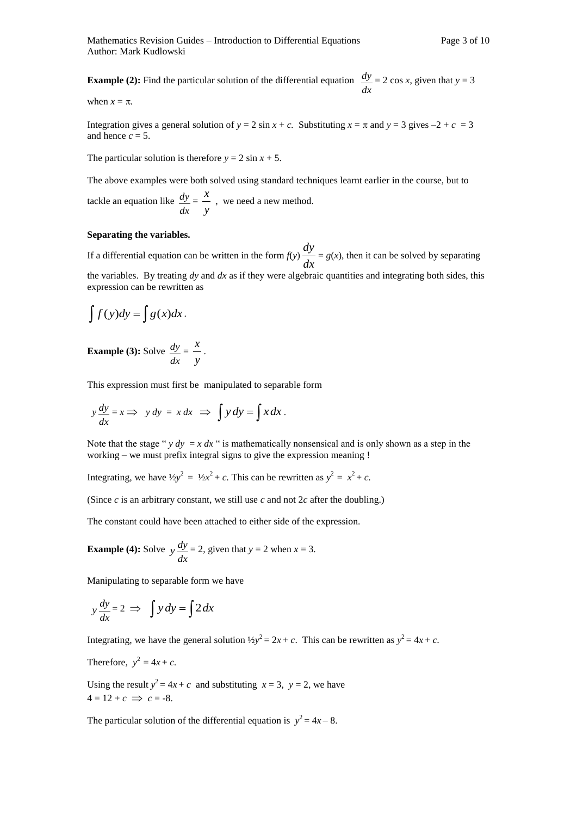**Example (2):** Find the particular solution of the differential equation *dx*  $\frac{dy}{dx}$  = 2 cos *x*, given that *y* = 3

when  $x = \pi$ .

Integration gives a general solution of  $y = 2 \sin x + c$ . Substituting  $x = \pi$  and  $y = 3$  gives  $-2 + c = 3$ and hence  $c = 5$ .

The particular solution is therefore  $y = 2 \sin x + 5$ .

The above examples were both solved using standard techniques learnt earlier in the course, but to tackle an equation like *dx*  $\frac{dy}{dx}$ *y*  $\frac{x}{x}$ , we need a new method.

#### **Separating the variables.**

If a differential equation can be written in the form  $f(y) \frac{dy}{dx}$  $\frac{dy}{dx} = g(x)$ , then it can be solved by separating the variables. By treating *dy* and *dx* as if they were algebraic quantities and integrating both sides, this expression can be rewritten as

$$
\int f(y)dy = \int g(x)dx.
$$

**Example (3):** Solve *dx*  $\frac{dy}{dx}$ *y*  $\frac{x}{x}$ .

This expression must first be manipulated to separable form

$$
y\frac{dy}{dx} = x \Longrightarrow y\,dy = x\,dx \Longrightarrow \int y\,dy = \int x\,dx.
$$

Note that the stage " $y dy = x dx$ " is mathematically nonsensical and is only shown as a step in the working – we must prefix integral signs to give the expression meaning !

Integrating, we have  $\frac{1}{2}y^2 = \frac{1}{2}x^2 + c$ . This can be rewritten as  $y^2 = x^2 + c$ .

(Since *c* is an arbitrary constant, we still use *c* and not 2*c* after the doubling.)

The constant could have been attached to either side of the expression.

**Example (4):** Solve *dx*  $y \frac{dy}{dx} = 2$ , given that  $y = 2$  when  $x = 3$ .

Manipulating to separable form we have

$$
y\frac{dy}{dx} = 2 \implies \int y\,dy = \int 2\,dx
$$

Integrating, we have the general solution  $\frac{1}{2}y^2 = 2x + c$ . This can be rewritten as  $y^2 = 4x + c$ .

Therefore,  $y^2 = 4x + c$ .

Using the result  $y^2 = 4x + c$  and substituting  $x = 3$ ,  $y = 2$ , we have  $4 = 12 + c \implies c = -8.$ 

The particular solution of the differential equation is  $y^2 = 4x - 8$ .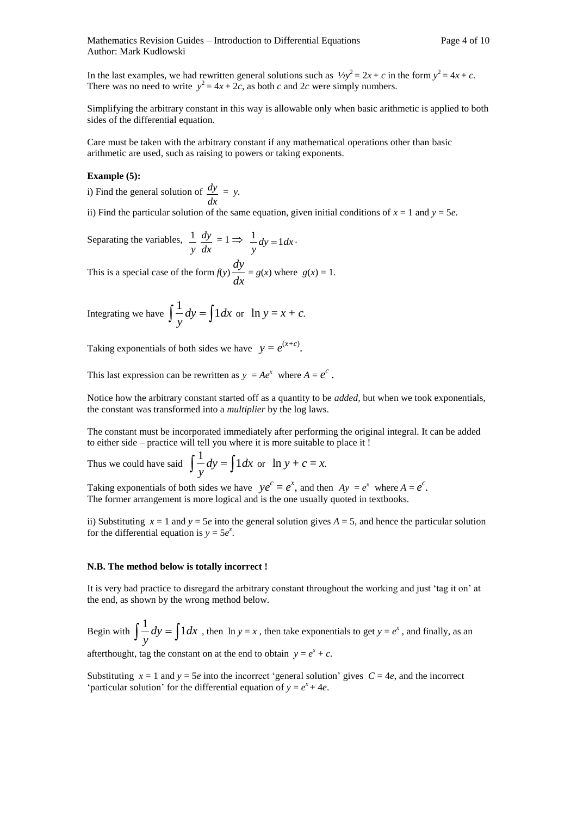In the last examples, we had rewritten general solutions such as  $\frac{1}{2}y^2 = 2x + c$  in the form  $y^2 = 4x + c$ . There was no need to write  $y^2 = 4x + 2c$ , as both *c* and 2*c* were simply numbers.

Simplifying the arbitrary constant in this way is allowable only when basic arithmetic is applied to both sides of the differential equation.

Care must be taken with the arbitrary constant if any mathematical operations other than basic arithmetic are used, such as raising to powers or taking exponents.

#### **Example (5):**

i) Find the general solution of *dx*  $\frac{dy}{dx} = y$ .

ii) Find the particular solution of the same equation, given initial conditions of  $x = 1$  and  $y = 5e$ .

Separating the variables, *dx dy y*  $\frac{1}{y} \frac{dy}{dx} = 1 \implies \frac{1}{y} dy = 1 dx$ *y*  $\frac{1}{y}$  dy = 1 dx ·

This is a special case of the form  $f(y) \frac{dy}{dx}$  $\frac{dy}{dx} = g(x)$  where  $g(x) = 1$ .

Integrating we have  $\int \frac{1}{y} dy = \int 1 dx$ *y*  $\frac{1}{x}$  *dy* =  $\int 1 dx$  or  $\ln y = x + c$ *.* 

Taking exponentials of both sides we have  $y = e^{(x+c)}$ .

This last expression can be rewritten as  $y = Ae^x$  where  $A = e^c$ .

Notice how the arbitrary constant started off as a quantity to be *added,* but when we took exponentials, the constant was transformed into a *multiplier* by the log laws.

The constant must be incorporated immediately after performing the original integral. It can be added to either side – practice will tell you where it is more suitable to place it !

Thus we could have said  $\int \frac{1}{y} dy = \int 1 dx$ *y*  $\frac{1}{x}$  *dy* =  $\int 1 dx$  or  $\ln y + c = x$ .

Taking exponentials of both sides we have  $ye^c = e^x$ , and then  $Ay = e^x$  where  $A = e^c$ . The former arrangement is more logical and is the one usually quoted in textbooks.

ii) Substituting  $x = 1$  and  $y = 5e$  into the general solution gives  $A = 5$ , and hence the particular solution for the differential equation is  $y = 5e^x$ .

#### **N.B. The method below is totally incorrect !**

It is very bad practice to disregard the arbitrary constant throughout the working and just 'tag it on' at the end, as shown by the wrong method below.

Begin with  $\int \frac{1}{y} dy = \int 1 dx$ *y*  $\frac{1}{2}dy = \int 1 dx$ , then ln  $y = x$ , then take exponentials to get  $y = e^x$ , and finally, as an

afterthought, tag the constant on at the end to obtain  $y = e^x + c$ .

Substituting  $x = 1$  and  $y = 5e$  into the incorrect 'general solution' gives  $C = 4e$ , and the incorrect 'particular solution' for the differential equation of  $y = e^x + 4e$ .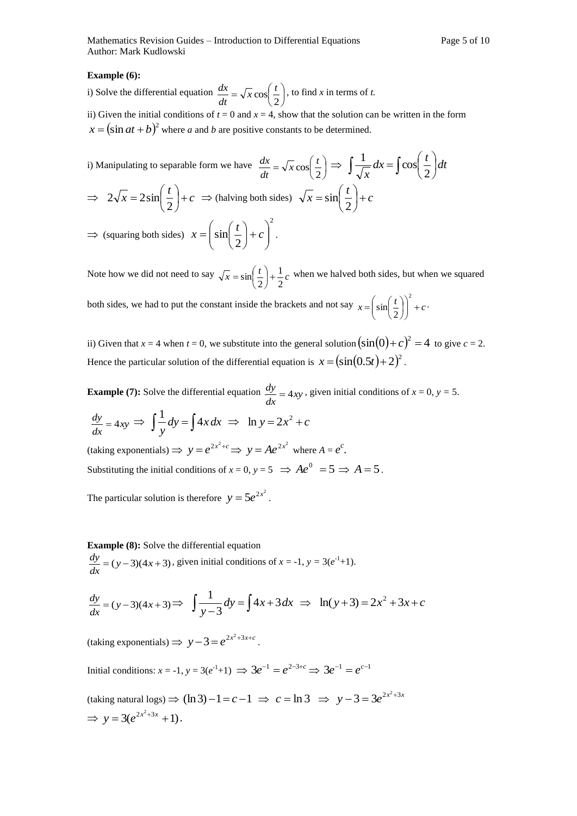#### **Example (6):**

i) Solve the differential equation  $\frac{dx}{dt} = \sqrt{x} \cos \left( \frac{t}{2} \right)$ Ј  $\left(\frac{t}{2}\right)$  $\backslash$  $=\sqrt{x}\cos$ 2  $\frac{1}{x} \cos \left( \frac{t}{x} \right)$ *dt*  $\frac{dx}{dx} = \sqrt{x} \cos\left(\frac{t}{x}\right)$ , to find *x* in terms of *t*. ii) Given the initial conditions of  $t = 0$  and  $x = 4$ , show that the solution can be written in the form

 $x = (\sin at + b)^2$  where *a* and *b* are positive constants to be determined.

i) Manipulating to separable form we have 
$$
\frac{dx}{dt} = \sqrt{x} \cos\left(\frac{t}{2}\right) \implies \int \frac{1}{\sqrt{x}} dx = \int \cos\left(\frac{t}{2}\right) dt
$$
  
\n $\implies 2\sqrt{x} = 2\sin\left(\frac{t}{2}\right) + c \implies$  (halving both sides)  $\sqrt{x} = \sin\left(\frac{t}{2}\right) + c$   
\n $\implies$  (squaring both sides)  $x = \left(\sin\left(\frac{t}{2}\right) + c\right)^2$ .

Note how we did not need to say  $\sqrt{x} = \sin\left(\frac{t}{2}\right) + \frac{1}{2}c$ 1  $\sin\left(\frac{t}{2}\right)$ + Ј  $\left(\frac{t}{2}\right)$  $\backslash$  $=\sin\left(\frac{t}{2}\right)+\frac{1}{2}c$  when we halved both sides, but when we squared both sides, we had to put the constant inside the brackets and not say  $x = \left(\sin\left(\frac{t}{2}\right)\right)^2 + c$ Ј  $\lambda$  $\overline{\phantom{a}}$  $\backslash$  $\left(\sin\left(\frac{t}{2}\right)\right)$  $\left(\frac{t}{2}\right)$  $=\sin$ 2  $\sin\left(\frac{t}{2}\right)\right)$  + c.

ii) Given that  $x = 4$  when  $t = 0$ , we substitute into the general solution  $(\sin(0) + c)^2 = 4$  to give  $c = 2$ . Hence the particular solution of the differential equation is  $x = (\sin(0.5t) + 2)^2$ .

**Example (7):** Solve the differential equation  $\frac{dy}{dx} = 4xy$  $\frac{dy}{dx} = 4xy$ , given initial conditions of  $x = 0$ ,  $y = 5$ .

$$
\frac{dy}{dx} = 4xy \implies \int \frac{1}{y} dy = \int 4x dx \implies \ln y = 2x^2 + c
$$

 $y = e^{2x^2+c} \implies y = Ae^{2x^2}$  where  $A = e^c$ . Substituting the initial conditions of  $x = 0$ ,  $y = 5 \implies Ae^0 = 5 \implies A = 5$ .

The particular solution is therefore  $y = 5e^{2x^2}$ .

### **Example (8):** Solve the differential equation

 $\frac{dy}{dx} = (y-3)(4x+3)$  $\frac{dy}{dx} = (y-3)(4x+3)$ , given initial conditions of  $x = -1$ ,  $y = 3(e^{-1}+1)$ .

$$
\frac{dy}{dx} = (y-3)(4x+3) \Rightarrow \int \frac{1}{y-3} dy = \int 4x + 3 dx \Rightarrow \ln(y+3) = 2x^2 + 3x + c
$$

 $\text{(taking exponentials)} \implies y - 3 = e^{2x^2 + 3x + c}$ .

Initial conditions:  $x = -1$ ,  $y = 3(e^{-1}+1) \implies 3e^{-1} = e^{2-3+c} \implies 3e^{-1} = e^{c-1}$ 

 $(\text{taking natural logs}) \Rightarrow (\ln 3) - 1 = c - 1 \Rightarrow c = \ln 3 \Rightarrow y - 3 = 3e^{2x^2 + 3x}$  $\Rightarrow$   $y = 3(e^{2x^2+3x} + 1).$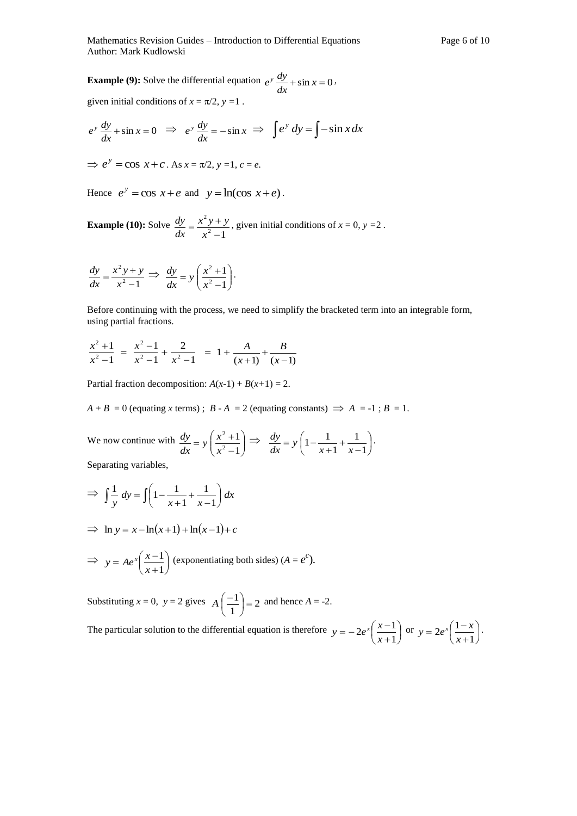**Example (9):** Solve the differential equation  $e^{y} \frac{dy}{dx} + \sin x = 0$  $e^{y} \frac{dy}{dx} + \sin x = 0$ , given initial conditions of  $x = \pi/2$ ,  $y = 1$ .

$$
e^{y} \frac{dy}{dx} + \sin x = 0 \implies e^{y} \frac{dy}{dx} = -\sin x \implies \int e^{y} dy = \int -\sin x dx
$$
  

$$
\implies e^{y} = \cos x + c. \text{ As } x = \pi/2, y = 1, c = e.
$$

Hence  $e^y = \cos x + e$  and  $y = \ln(\cos x + e)$ .

**Example (10):** Solve  $2^2-1$ 2  $\overline{a}$  $=\frac{x^2y+}{2}$ *x*  $x^2y + y$ *dx*  $\frac{dy}{dx} = \frac{x^2y + y}{2}$ , given initial conditions of  $x = 0$ ,  $y = 2$ .

$$
\frac{dy}{dx} = \frac{x^2y + y}{x^2 - 1} \implies \frac{dy}{dx} = y\left(\frac{x^2 + 1}{x^2 - 1}\right).
$$

Before continuing with the process, we need to simplify the bracketed term into an integrable form, using partial fractions.

$$
\frac{x^2+1}{x^2-1} = \frac{x^2-1}{x^2-1} + \frac{2}{x^2-1} = 1 + \frac{A}{(x+1)} + \frac{B}{(x-1)}
$$

Partial fraction decomposition:  $A(x-1) + B(x+1) = 2$ .

 $A + B = 0$  (equating *x* terms);  $B - A = 2$  (equating constants)  $\implies A = -1$ ;  $B = 1$ .

We now continue with  $\frac{dy}{dx} = y \left[ \frac{x+1}{x^2-1} \right]$ J  $\backslash$  $\overline{\phantom{a}}$  $\setminus$ ſ  $\overline{a}$  $= y \left( \frac{x^2 + y^2}{2} \right)$ 1 1 2 2 *x*  $\frac{dy}{dx} = y \left( \frac{x}{x} \right)$  $\frac{dy}{dx} = y \left( \frac{x^2 + 1}{2} \right) \Rightarrow \frac{dy}{dx} = y \left( 1 - \frac{1}{2} + \frac{1}{2} \right)$ J  $\left(1-\frac{1}{1-\frac{1}{2}}+\frac{1}{1-\frac{1}{2}}\right)$  $\overline{\mathcal{L}}$ ſ  $\overline{a}$  $^{+}$  $\ddot{}$  $= y \mid 1 -$ 1 1 1  $1-\frac{1}{2}$  $x+1$  *x y dx*  $\frac{dy}{dx} = y \left( 1 - \frac{1}{x} + \frac{1}{x} \right)$ .

Separating variables,

$$
\Rightarrow \int \frac{1}{y} dy = \int \left(1 - \frac{1}{x+1} + \frac{1}{x-1}\right) dx
$$

$$
\Rightarrow \ln y = x - \ln(x+1) + \ln(x-1) + c
$$

$$
\Rightarrow y = Ae^{x} \left( \frac{x-1}{x+1} \right)
$$
 (exponentiating both sides)  $(A = e^{c})$ .

Substituting  $x = 0$ ,  $y = 2$  gives  $A\left|\frac{-1}{2}\right| = 2$ 1  $\binom{1}{1}$ Ј  $\left(\frac{-1}{4}\right)$  $\backslash$  $A\left(\frac{-1}{4}\right) = 2$  and hence  $A = -2$ .

The particular solution to the differential equation is therefore  $y = -2e^x \left( \frac{x-1}{x-1} \right)$ Ј  $\left(\frac{x-1}{x-1}\right)$  $\overline{\mathcal{L}}$ ſ  $\ddot{}$  $=-2e^{x}\left(\frac{x-1}{2}\right)$ 1  $2e^{x}\left(\frac{x-1}{2}\right)$ *x*  $y = -2e^x \left(\frac{x-1}{x-1}\right)$  or  $y = 2e^x \left(\frac{1-x}{x-1}\right)$ J  $\left(\frac{1-x}{1}\right)$  $\overline{\mathcal{L}}$ ſ  $\ddot{}$  $=2e^{x}\left( \frac{1-}{2}\right)$ 1  $2e^{x}\left(\frac{1}{2}\right)$ *x*  $y = 2e^{x} \left( \frac{1-x}{2} \right)$ .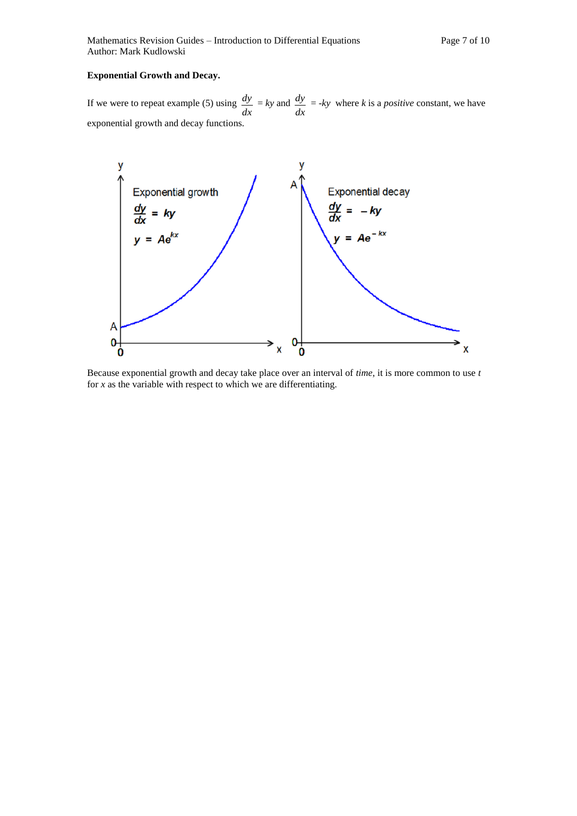#### **Exponential Growth and Decay.**

If we were to repeat example (5) using *dx*  $\frac{dy}{dx}$  = *ky* and *dx*  $\frac{dy}{dx}$  = *-ky* where *k* is a *positive* constant, we have exponential growth and decay functions.



Because exponential growth and decay take place over an interval of *time*, it is more common to use *t*  for *x* as the variable with respect to which we are differentiating.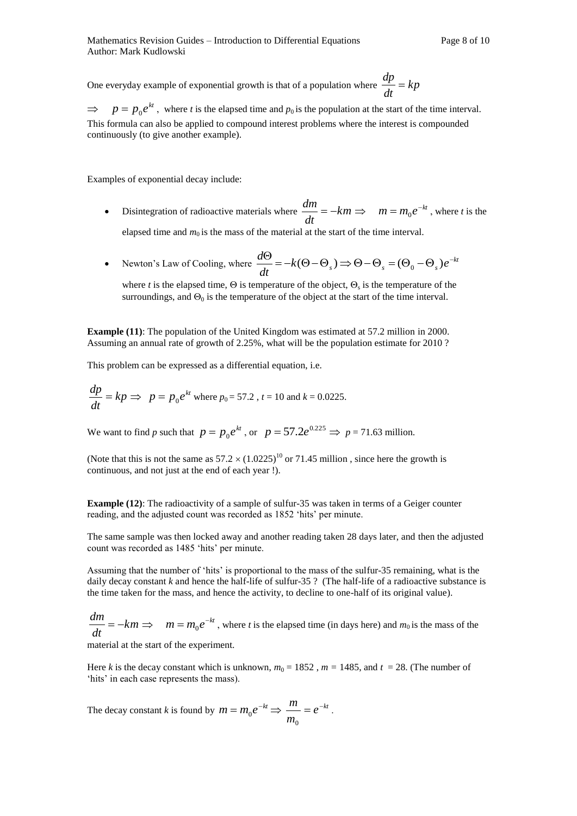One everyday example of exponential growth is that of a population where  $\frac{dp}{dr} = kp$ *dt*  $\frac{dp}{dt}$ 

 $\Rightarrow$  $p = p_0 e^{kt}$ , where *t* is the elapsed time and  $p_0$  is the population at the start of the time interval. This formula can also be applied to compound interest problems where the interest is compounded continuously (to give another example).

Examples of exponential decay include:

- Disintegration of radioactive materials where  $\frac{dm}{dr} = -km$ *dt*  $\frac{dm}{dt} = -km \implies m = m_0 e^{-kt}$ , where *t* is the elapsed time and  $m_0$  is the mass of the material at the start of the time interval.
- Newton's Law of Cooling, where  $\frac{d\Theta}{dt} = -k(\Theta \Theta_s) \Rightarrow \Theta \Theta_s = (\Theta_0 \Theta_s)e^{-kt}$  $k(\Theta - \Theta_s) \Rightarrow \Theta - \Theta_s = (\Theta_0 - \Theta_s)e$ *dt*  $\frac{d\Theta}{dt} = -k(\Theta - \Theta_s) \Rightarrow \Theta - \Theta_s = (\Theta_0 - \Theta_s)e^{-\Theta_s}$

where *t* is the elapsed time,  $\Theta$  is temperature of the object,  $\Theta_s$  is the temperature of the surroundings, and  $\Theta_0$  is the temperature of the object at the start of the time interval.

**Example (11)**: The population of the United Kingdom was estimated at 57.2 million in 2000. Assuming an annual rate of growth of 2.25%, what will be the population estimate for 2010 ?

This problem can be expressed as a differential equation, i.e.

$$
\frac{dp}{dt} = kp \implies p = p_0 e^{kt}
$$
 where  $p_0 = 57.2$ ,  $t = 10$  and  $k = 0.0225$ .

We want to find *p* such that  $p = p_0 e^{kt}$ , or  $p = 57.2e^{0.225} \Rightarrow p = 71.63$  million.

(Note that this is not the same as  $57.2 \times (1.0225)^{10}$  or 71.45 million, since here the growth is continuous, and not just at the end of each year !).

**Example (12):** The radioactivity of a sample of sulfur-35 was taken in terms of a Geiger counter reading, and the adjusted count was recorded as 1852 'hits' per minute.

The same sample was then locked away and another reading taken 28 days later, and then the adjusted count was recorded as 1485 'hits' per minute.

Assuming that the number of 'hits' is proportional to the mass of the sulfur-35 remaining, what is the daily decay constant *k* and hence the half-life of sulfur-35 ? (The half-life of a radioactive substance is the time taken for the mass, and hence the activity, to decline to one-half of its original value).

*km dt*  $\frac{dm}{dt} = -km \implies m = m_0 e^{-kt}$ , where *t* is the elapsed time (in days here) and  $m_0$  is the mass of the

material at the start of the experiment.

Here *k* is the decay constant which is unknown,  $m_0 = 1852$ ,  $m = 1485$ , and  $t = 28$ . (The number of 'hits' in each case represents the mass).

The decay constant *k* is found by  $m = m_0 e^{-kt} \Rightarrow \frac{m}{m} = e^{-kt}$ *m*  $\frac{m}{2} = e^{-m}$  $\mathbf{0}$  $\ddot{\phantom{0}}$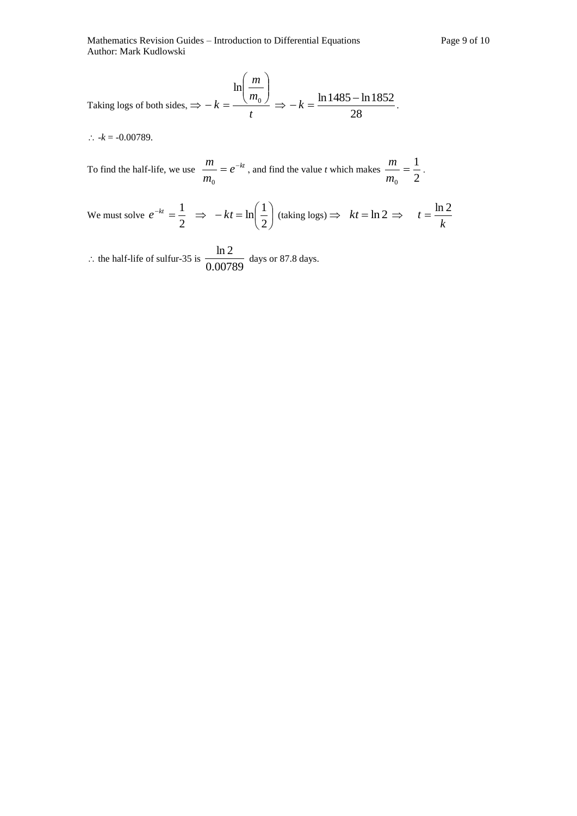Mathematics Revision Guides – Introduction to Differential Equations Page 9 of 10 Author: Mark Kudlowski

Taking logs of both sides, 
$$
\Rightarrow -k = \frac{\ln\left(\frac{m}{m_0}\right)}{t} \Rightarrow -k = \frac{\ln 1485 - \ln 1852}{28}
$$
.

 $\therefore$   $-k = -0.00789$ .

To find the half-life, we use  $\frac{m}{\epsilon} = e^{-kt}$ *m*  $\frac{m}{\epsilon}$  = e<sup>-</sup> 0 , and find the value *t* which makes  $\frac{m}{m_0} = \frac{1}{2}$ 1 0  $=$ *m*  $\frac{m}{m} = \frac{1}{n}$ .

We must solve 
$$
e^{-kt} = \frac{1}{2} \implies -kt = \ln\left(\frac{1}{2}\right)
$$
 (taking logs)  $\implies kt = \ln 2 \implies t = \frac{\ln 2}{k}$ 

: the half-life of sulfur-35 is  $\frac{m}{0.00789}$  $\frac{\ln 2}{\ln 2}$  days or 87.8 days.